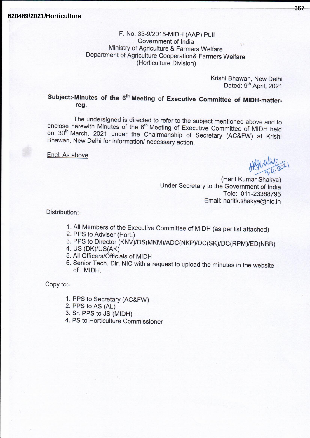# F. No. 33-9/2015-MIDH (AAP) Pt.II Government of India Ministry of Agriculture & Farmers Welfare Department of Agriculture Cooperation& Farmers Welfare (Horticulture Division)

Krishi Bhawan, New Delhi Dated: 9<sup>th</sup> April, 2021

# Subject:-Minutes of the 6<sup>th</sup> Meeting of Executive Committee of MIDH-matterreg.

The undersigned is directed to refer to the subject mentioned above and to enclose herewith Minutes of the 6<sup>th</sup> Meeting of Executive Committee of MIDH held on 30<sup>th</sup> March, 2021 under the Chairmanship of Secretary (AC&FW) at Krishi Bhawan, New Delhi for information/ necessary action.

Encl: As above

(Harit Kumar Shakya) Under Secretary to the Government of India Tele: 011-23388795 Email: haritk.shakya@nic.in

Distribution:-

- 1. All Members of the Executive Committee of MIDH (as per list attached)
- 2. PPS to Adviser (Hort.)
- 3. PPS to Director (KNV)/DS(MKM)/ADC(NKP)/DC(SK)/DC(RPM)/ED(NBB)
- 4. US (DK)/US(AK)
- 5. All Officers/Officials of MIDH
- 6. Senior Tech. Dir, NIC with a request to upload the minutes in the website of MIDH.

Copy to:-

- 1. PPS to Secretary (AC&FW)
- 2. PPS to AS (AL)
- 3. Sr. PPS to JS (MIDH)
- 4. PS to Horticulture Commissioner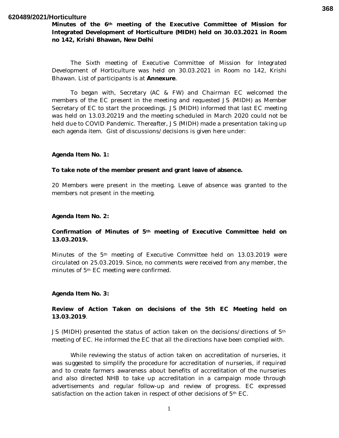#### **620489/2021/Horticulture**

**Minutes of the 6th meeting of the Executive Committee of Mission for Integrated Development of Horticulture (MIDH) held on 30.03.2021 in Room no 142, Krishi Bhawan, New Delhi**

The Sixth meeting of Executive Committee of Mission for Integrated Development of Horticulture was held on 30.03.2021 in Room no 142, Krishi Bhawan. List of participants is at **Annexure**.

To began with, Secretary (AC & FW) and Chairman EC welcomed the members of the EC present in the meeting and requested JS (MIDH) as Member Secretary of EC to start the proceedings. JS (MIDH) informed that last EC meeting was held on 13.03.20219 and the meeting scheduled in March 2020 could not be held due to COVID Pandemic. Thereafter, JS (MIDH) made a presentation taking up each agenda item. Gist of discussions/decisions is given here under:

#### **Agenda Item No. 1:**

#### **To take note of the member present and grant leave of absence.**

20 Members were present in the meeting. Leave of absence was granted to the members not present in the meeting.

#### **Agenda Item No. 2:**

#### **Confirmation of Minutes of 5th meeting of Executive Committee held on 13.03.2019.**

Minutes of the 5th meeting of Executive Committee held on 13.03.2019 were circulated on 25.03.2019. Since, no comments were received from any member, the minutes of 5th EC meeting were confirmed.

#### **Agenda Item No. 3:**

#### **Review of Action Taken on decisions of the 5th EC Meeting held on 13.03.2019**.

JS (MIDH) presented the status of action taken on the decisions/directions of 5th meeting of EC. He informed the EC that all the directions have been complied with.

While reviewing the status of action taken on accreditation of nurseries, it was suggested to simplify the procedure for accreditation of nurseries, if required and to create farmers awareness about benefits of accreditation of the nurseries and also directed NHB to take up accreditation in a campaign mode through advertisements and regular follow-up and review of progress. EC expressed satisfaction on the action taken in respect of other decisions of 5<sup>th</sup> EC.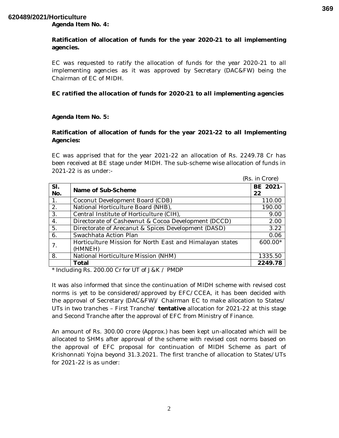## **620489/2021/Horticulture**

**Agenda Item No. 4:** 

**Ratification of allocation of funds for the year 2020-21 to all implementing agencies.**

EC was requested to ratify the allocation of funds for the year 2020-21 to all implementing agencies as it was approved by Secretary (DAC&FW) being the Chairman of EC of MIDH.

### *EC ratified the allocation of funds for 2020-21 to all implementing agencies*

#### **Agenda Item No. 5:**

# **Ratification of allocation of funds for the year 2021-22 to all Implementing Agencies:**

EC was apprised that for the year 2021-22 an allocation of Rs. 2249.78 Cr has been received at BE stage under MIDH. The sub-scheme wise allocation of funds in 2021-22 is as under:-

|                  |                                                          | (Rs. in Crore) |
|------------------|----------------------------------------------------------|----------------|
| SI.<br>No.       | Name of Sub-Scheme                                       | BE 2021-       |
|                  |                                                          | 22             |
| $\overline{1}$ . | Coconut Development Board (CDB)                          | 110.00         |
| 2.               | National Horticulture Board (NHB),                       | 190.00         |
| 3.               | Central Institute of Horticulture (CIH),                 | 9.00           |
| 4.               | Directorate of Cashewnut & Cocoa Development (DCCD)      | 2.00           |
| 5.               | Directorate of Arecanut & Spices Development (DASD)      | 3.22           |
| 6.               | Swachhata Action Plan                                    | 0.06           |
|                  | Horticulture Mission for North East and Himalayan states | 600.00*        |
|                  | (HMNEH)                                                  |                |
| 8.               | National Horticulture Mission (NHM)                      | 1335.50        |
|                  | Total                                                    | 2249.78        |

*\* Including Rs. 200.00 Cr for UT of J&K / PMDP*

It was also informed that since the continuation of MIDH scheme with revised cost norms is yet to be considered/approved by EFC/CCEA, it has been decided with the approval of Secretary (DAC&FW)/ Chairman EC to make allocation to States/ UTs in two tranches – First Tranche/ **tentative** allocation for 2021-22 at this stage and Second Tranche after the approval of EFC from Ministry of Finance.

An amount of Rs. 300.00 crore (Approx.) has been kept un-allocated which will be allocated to SHMs after approval of the scheme with revised cost norms based on the approval of EFC proposal for continuation of MIDH Scheme as part of Krishonnati Yojna beyond 31.3.2021. The first tranche of allocation to States/UTs for 2021-22 is as under:

**369**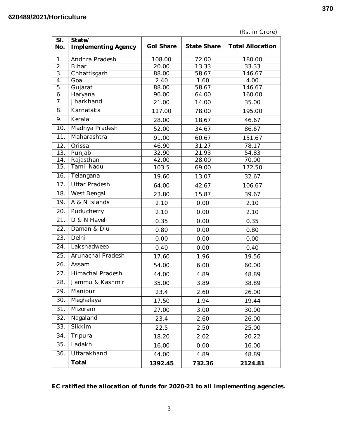| (Rs. in Crore) |  |
|----------------|--|
|----------------|--|

| SI.<br>No.        | State/<br><b>Implementing Agency</b> | <b>Gol Share</b> | <b>State Share</b> | <b>Total Allocation</b> |
|-------------------|--------------------------------------|------------------|--------------------|-------------------------|
|                   |                                      |                  |                    |                         |
| $\overline{1}$ .  | Andhra Pradesh                       | 108.00           | 72.00              | 180.00                  |
| $\overline{2}$ .  | <b>Bihar</b>                         | 20.00            | 13.33              | 33.33                   |
| 3.<br>4.          | Chhattisgarh<br>Goa                  | 88.00<br>2.40    | 58.67<br>1.60      | 146.67<br>4.00          |
| 5.                | Gujarat                              | 88.00            | 58.67              | 146.67                  |
| 6.                | Haryana                              | 96.00            | 64.00              | 160.00                  |
| 7.                | Jharkhand                            | 21.00            | 14.00              | 35.00                   |
| 8.                | Karnataka                            | 117.00           | 78.00              | 195.00                  |
| 9.                | Kerala                               | 28.00            | 18.67              | 46.67                   |
| $\overline{1}0.$  | Madhya Pradesh                       | 52.00            | 34.67              | 86.67                   |
| 11.               | Maharashtra                          | 91.00            | 60.67              | 151.67                  |
| 12.               | Orissa                               | 46.90            | 31.27              | 78.17                   |
| 13.               | Punjab                               | 32.90            | 21.93              | 54.83                   |
| 14.               | Rajasthan                            | 42.00            | 28.00              | 70.00                   |
| 15.               | <b>Tamil Nadu</b>                    | 103.5            | 69.00              | 172.50                  |
| 16.               | Telangana                            | 19.60            | 13.07              | 32.67                   |
| $\overline{17}$ . | <b>Uttar Pradesh</b>                 | 64.00            | 42.67              | 106.67                  |
| 18.               | West Bengal                          | 23.80            | 15.87              | 39.67                   |
| 19.               | A & N Islands                        | 2.10             | 0.00               | 2.10                    |
| 20.               | Puducherry                           | 2.10             | 0.00               | 2.10                    |
| 21.               | D & N Haveli                         | 0.35             | 0.00               | 0.35                    |
| 22.               | Daman & Diu                          | 0.80             | 0.00               | 0.80                    |
| 23.               | Delhi                                | 0.00             | 0.00               | 0.00                    |
| 24.               | Lakshadweep                          | 0.40             | 0.00               | 0.40                    |
| $\overline{25}$ . | Arunachal Pradesh                    | 17.60            | 1.96               | 19.56                   |
| 26.               | Assam                                | 54.00            | 6.00               | 60.00                   |
| 27.               | Himachal Pradesh                     | 44.00            | 4.89               | 48.89                   |
| 28.               | Jammu & Kashmir                      | 35.00            | 3.89               | 38.89                   |
| 29.               | Manipur                              | 23.4             | 2.60               | 26.00                   |
| 30.               | Meghalaya                            | 17.50            | 1.94               | 19.44                   |
| 31.               | Mizoram                              | 27.00            | 3.00               | 30.00                   |
| 32.               | Nagaland                             | 23.4             | 2.60               | 26.00                   |
| 33.               | Sikkim                               | 22.5             | 2.50               | 25.00                   |
| 34.               | Tripura                              | 18.20            | 2.02               | 20.22                   |
| 35.               | Ladakh                               | 16.00            | 0.00               | 16.00                   |
| 36.               | Uttarakhand                          | 44.00            | 4.89               | 48.89                   |
|                   | Total                                | 1392.45          | 732.36             | 2124.81                 |

*EC ratified the allocation of funds for 2020-21 to all implementing agencies.* 

**370**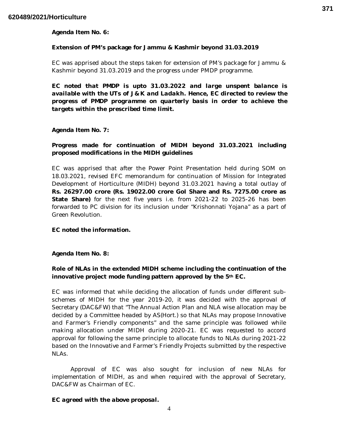**Agenda Item No. 6:** 

## **Extension of PM's package for Jammu & Kashmir beyond 31.03.2019**

EC was apprised about the steps taken for extension of PM's package for Jammu & Kashmir beyond 31.03.2019 and the progress under PMDP programme.

*EC noted that PMDP is upto 31.03.2022 and large unspent balance is available with the UTs of J&K and Ladakh. Hence, EC directed to review the progress of PMDP programme on quarterly basis in order to achieve the targets within the prescribed time limit.*

**Agenda Item No. 7:** 

# **Progress made for continuation of MIDH beyond 31.03.2021 including proposed modifications in the MIDH guidelines**

EC was apprised that after the Power Point Presentation held during SOM on 18.03.2021, revised EFC memorandum for continuation of Mission for Integrated Development of Horticulture (MIDH) beyond 31.03.2021 having a total outlay of **Rs. 26297.00 crore (Rs. 19022.00 crore GoI Share and Rs. 7275.00 crore as State Share)** for the next five years i.e. from 2021-22 to 2025-26 has been forwarded to PC division for its inclusion under "Krishonnati Yojana" as a part of Green Revolution.

*EC noted the information.*

**Agenda Item No. 8:** 

# **Role of NLAs in the extended MIDH scheme including the continuation of the innovative project mode funding pattern approved by the 5th EC.**

EC was informed that while deciding the allocation of funds under different subschemes of MIDH for the year 2019-20, it was decided with the approval of Secretary (DAC&FW) that "The Annual Action Plan and NLA wise allocation may be decided by a Committee headed by AS(Hort.) so that NLAs may propose Innovative and Farmer's Friendly components" and the same principle was followed while making allocation under MIDH during 2020-21. EC was requested to accord approval for following the same principle to allocate funds to NLAs during 2021-22 based on the Innovative and Farmer's Friendly Projects submitted by the respective NLAs.

Approval of EC was also sought for inclusion of new NLAs for implementation of MIDH, as and when required with the approval of Secretary, DAC&FW as Chairman of EC.

# *EC agreed with the above proposal.*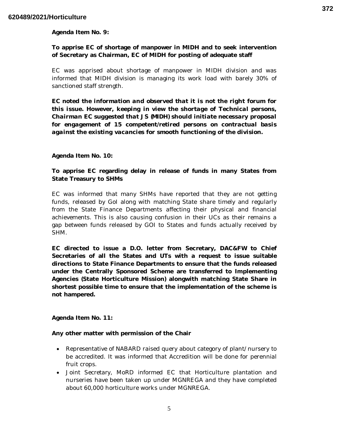**Agenda Item No. 9:** 

# **To apprise EC of shortage of manpower in MIDH and to seek intervention of Secretary as Chairman, EC of MIDH for posting of adequate staff**

EC was apprised about shortage of manpower in MIDH division and was informed that MIDH division is managing its work load with barely 30% of sanctioned staff strength.

*EC noted the information and observed that it is not the right forum for this issue. However, keeping in view the shortage of Technical persons, Chairman EC suggested that JS (MIDH) should initiate necessary proposal for engagement of 15 competent/retired persons on contractual basis against the existing vacancies for smooth functioning of the division.*

### **Agenda Item No. 10:**

## **To apprise EC regarding delay in release of funds in many States from State Treasury to SHMs**

EC was informed that many SHMs have reported that they are not getting funds, released by GoI along with matching State share timely and regularly from the State Finance Departments affecting their physical and financial achievements. This is also causing confusion in their UCs as their remains a gap between funds released by GOI to States and funds actually received by SHM.

**EC directed to issue a D.O. letter from Secretary, DAC&FW to Chief Secretaries of all the States and UTs with a request to issue suitable directions to State Finance Departments to ensure that the funds released under the Centrally Sponsored Scheme are transferred to Implementing Agencies (State Horticulture Mission) alongwith matching State Share in shortest possible time to ensure that the implementation of the scheme is not hampered.** 

**Agenda Item No. 11:** 

#### **Any other matter with permission of the Chair**

- Representative of NABARD raised query about category of plant/nursery to be accredited. It was informed that Accredition will be done for perennial fruit crops.
- Joint Secretary, MoRD informed EC that Horticulture plantation and nurseries have been taken up under MGNREGA and they have completed about 60,000 horticulture works under MGNREGA.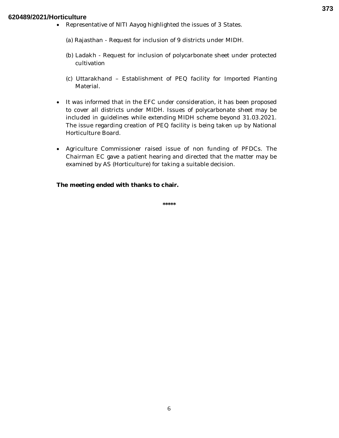### **620489/2021/Horticulture**

Representative of NITI Aayog highlighted the issues of 3 States.

(a) Rajasthan - Request for inclusion of 9 districts under MIDH.

- (b) Ladakh Request for inclusion of polycarbonate sheet under protected cultivation
- (c) Uttarakhand Establishment of PEQ facility for Imported Planting Material.
- It was informed that in the EFC under consideration, it has been proposed to cover all districts under MIDH. Issues of polycarbonate sheet may be included in guidelines while extending MIDH scheme beyond 31.03.2021. The issue regarding creation of PEQ facility is being taken up by National Horticulture Board.
- Agriculture Commissioner raised issue of non funding of PFDCs. The Chairman EC gave a patient hearing and directed that the matter may be examined by AS (Horticulture) for taking a suitable decision.

**The meeting ended with thanks to chair.**

**\*\*\*\*\***